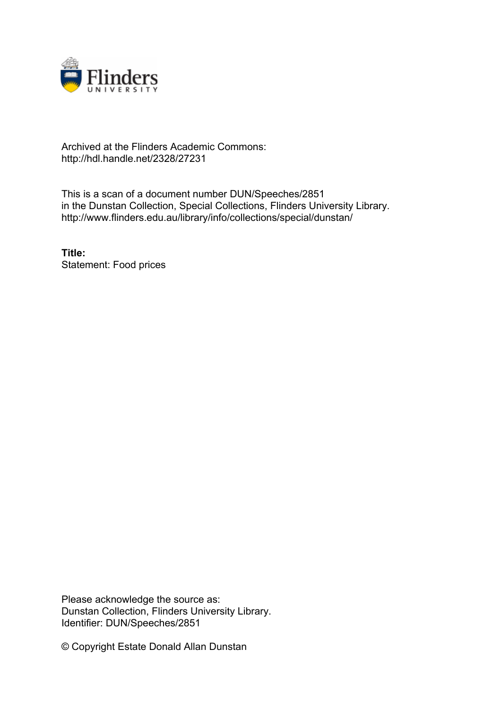

## Archived at the Flinders Academic Commons: http://hdl.handle.net/2328/27231

This is a scan of a document number DUN/Speeches/2851 in the Dunstan Collection, Special Collections, Flinders University Library. http://www.flinders.edu.au/library/info/collections/special/dunstan/

**Title:** Statement: Food prices

Please acknowledge the source as: Dunstan Collection, Flinders University Library. Identifier: DUN/Speeches/2851

© Copyright Estate Donald Allan Dunstan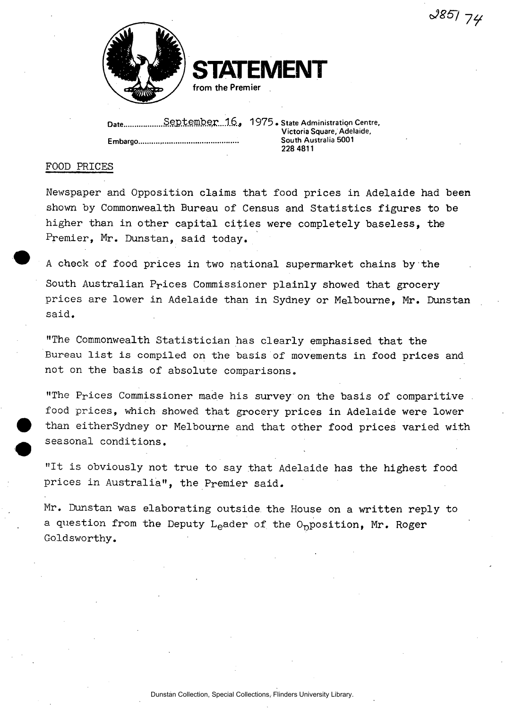



**TATEMENT from the Premier** 

**Date** Sej?temb§r....l6.j 1975 • **State Administratis Centre, Embargo.** 

Victoria Square, Adelaide, **South Australia 5001 228 4811** 

## FOOD PRICES

Newspaper and Opposition claims that food prices in Adelaide had been shown by Commonwealth Bureau of Census and Statistics figures to be higher than in other capital cities were completely baseless, the Premier, Mr. Dunstan, said today.

A check of food prices in two national supermarket chains by the South Australian Prices Commissioner plainly showed that grocery prices are lower in Adelaide than in Sydney or Melbourne, Mr. Dunstan said.

"The Commonwealth Statistician has clearly emphasised that the Bureau list is compiled on the basis of movements in food prices and not on the basis of absolute comparisons.

"The Prices Commissioner made his survey on the basis of comparitive food prices, which showed that grocery prices in Adelaide were lower than eitherSydney or Melbourne and that other food prices varied with seasonal conditions.

"It is obviously not true to say that Adelaide has the highest food prices in Australia", the Premier said.

Mr. Dunstan was elaborating outside the House on a written reply to a question from the Deputy L<sub>e</sub>ader of the O<sub>p</sub>position, Mr. Roger Goldsworthy.